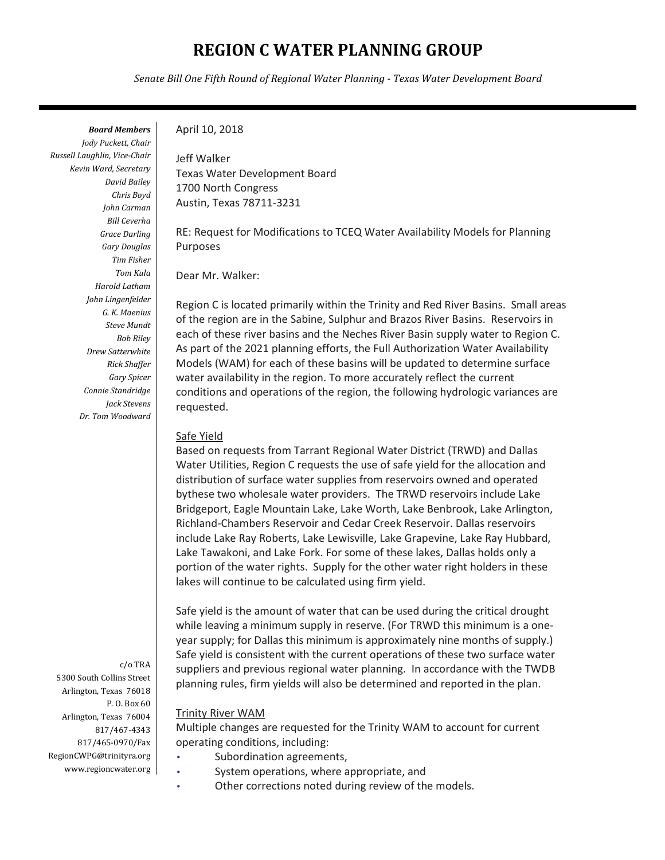# **REGION C WATER PLANNING GROUP**

*Senate Bill One Fifth Round of Regional Water Planning - Texas Water Development Board*

*Board Members* 

*Jody Puckett, Chair Russell Laughlin, Vice-Chair Kevin Ward, Secretary David Bailey Chris Boyd John Carman Bill Ceverha Grace Darling Gary Douglas Tim Fisher Tom Kula Harold Latham John Lingenfelder G. K. Maenius Steve Mundt Bob Riley Drew Satterwhite Rick Shaffer Gary Spicer Connie Standridge Jack Stevens Dr. Tom Woodward* 

c/o TRA 5300 South Collins Street Arlington, Texas 76018 P. O. Box 60 Arlington, Texas 76004 817/467-4343 817/465-0970/Fax RegionCWPG@trinityra.org www.regioncwater.org

#### April 10, 2018

Jeff Walker Texas Water Development Board 1700 North Congress Austin, Texas 78711-3231

RE: Request for Modifications to TCEQ Water Availability Models for Planning Purposes

Dear Mr. Walker:

Region C is located primarily within the Trinity and Red River Basins. Small areas of the region are in the Sabine, Sulphur and Brazos River Basins. Reservoirs in each of these river basins and the Neches River Basin supply water to Region C. As part of the 2021 planning efforts, the Full Authorization Water Availability Models (WAM) for each of these basins will be updated to determine surface water availability in the region. To more accurately reflect the current conditions and operations of the region, the following hydrologic variances are requested.

#### Safe Yield

Based on requests from Tarrant Regional Water District (TRWD) and Dallas Water Utilities, Region C requests the use of safe yield for the allocation and distribution of surface water supplies from reservoirs owned and operated bythese two wholesale water providers. The TRWD reservoirs include Lake Bridgeport, Eagle Mountain Lake, Lake Worth, Lake Benbrook, Lake Arlington, Richland-Chambers Reservoir and Cedar Creek Reservoir. Dallas reservoirs include Lake Ray Roberts, Lake Lewisville, Lake Grapevine, Lake Ray Hubbard, Lake Tawakoni, and Lake Fork. For some of these lakes, Dallas holds only a portion of the water rights. Supply for the other water right holders in these lakes will continue to be calculated using firm yield.

Safe yield is the amount of water that can be used during the critical drought while leaving a minimum supply in reserve. (For TRWD this minimum is a oneyear supply; for Dallas this minimum is approximately nine months of supply.) Safe yield is consistent with the current operations of these two surface water suppliers and previous regional water planning. In accordance with the TWDB planning rules, firm yields will also be determined and reported in the plan.

#### Trinity River WAM

Multiple changes are requested for the Trinity WAM to account for current operating conditions, including:

- Subordination agreements,
- System operations, where appropriate, and
- Other corrections noted during review of the models.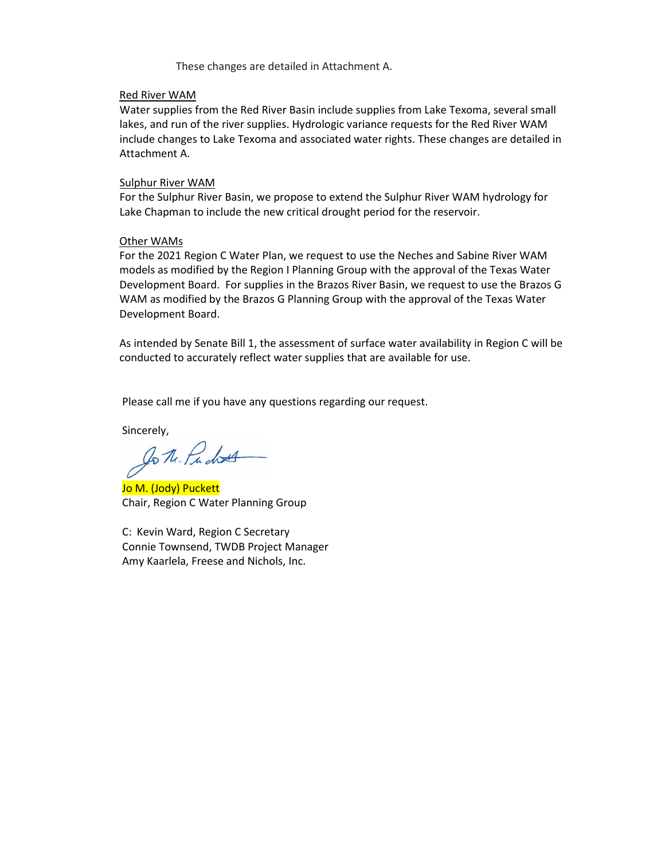These changes are detailed in Attachment A.

#### Red River WAM

Water supplies from the Red River Basin include supplies from Lake Texoma, several small lakes, and run of the river supplies. Hydrologic variance requests for the Red River WAM include changes to Lake Texoma and associated water rights. These changes are detailed in Attachment A.

### Sulphur River WAM

For the Sulphur River Basin, we propose to extend the Sulphur River WAM hydrology for Lake Chapman to include the new critical drought period for the reservoir.

### Other WAMs

For the 2021 Region C Water Plan, we request to use the Neches and Sabine River WAM models as modified by the Region I Planning Group with the approval of the Texas Water Development Board. For supplies in the Brazos River Basin, we request to use the Brazos G WAM as modified by the Brazos G Planning Group with the approval of the Texas Water Development Board.

As intended by Senate Bill 1, the assessment of surface water availability in Region C will be conducted to accurately reflect water supplies that are available for use.

Please call me if you have any questions regarding our request.

Sincerely,

to the Pudres

Jo M. (Jody) Puckett Chair, Region C Water Planning Group

C: Kevin Ward, Region C Secretary Connie Townsend, TWDB Project Manager Amy Kaarlela, Freese and Nichols, Inc.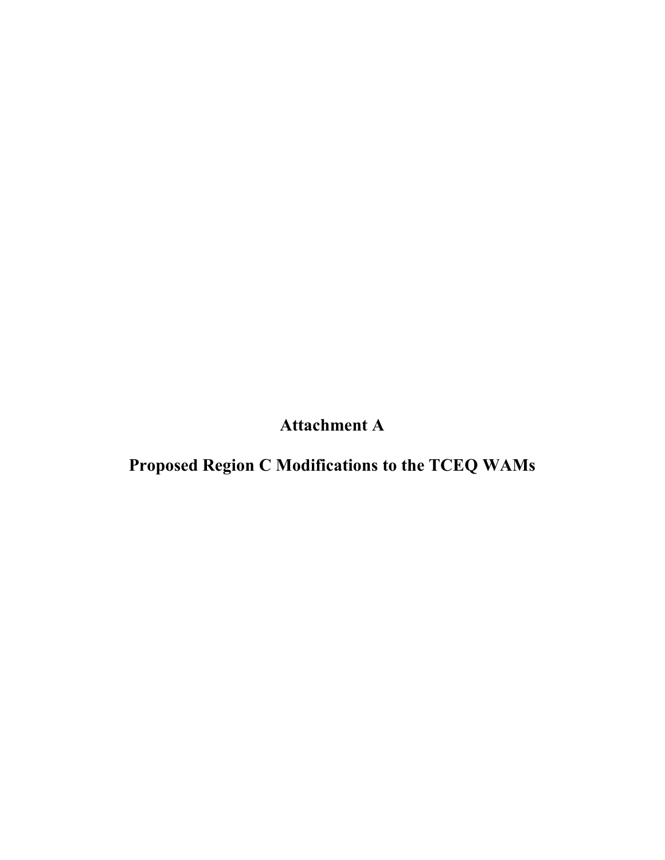**Attachment A** 

**Proposed Region C Modifications to the TCEQ WAMs**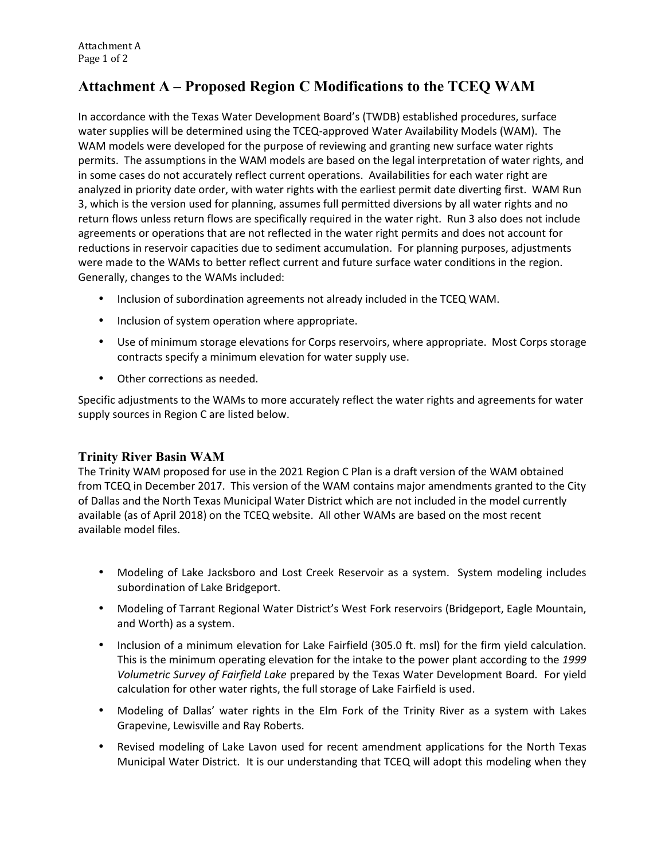# **Attachment A – Proposed Region C Modifications to the TCEQ WAM**

In accordance with the Texas Water Development Board's (TWDB) established procedures, surface water supplies will be determined using the TCEQ-approved Water Availability Models (WAM). The WAM models were developed for the purpose of reviewing and granting new surface water rights permits. The assumptions in the WAM models are based on the legal interpretation of water rights, and in some cases do not accurately reflect current operations. Availabilities for each water right are analyzed in priority date order, with water rights with the earliest permit date diverting first. WAM Run 3, which is the version used for planning, assumes full permitted diversions by all water rights and no return flows unless return flows are specifically required in the water right. Run 3 also does not include agreements or operations that are not reflected in the water right permits and does not account for reductions in reservoir capacities due to sediment accumulation. For planning purposes, adjustments were made to the WAMs to better reflect current and future surface water conditions in the region. Generally, changes to the WAMs included:

- Inclusion of subordination agreements not already included in the TCEQ WAM.
- Inclusion of system operation where appropriate.
- Use of minimum storage elevations for Corps reservoirs, where appropriate. Most Corps storage contracts specify a minimum elevation for water supply use.
- Other corrections as needed.

Specific adjustments to the WAMs to more accurately reflect the water rights and agreements for water supply sources in Region C are listed below.

## **Trinity River Basin WAM**

The Trinity WAM proposed for use in the 2021 Region C Plan is a draft version of the WAM obtained from TCEQ in December 2017. This version of the WAM contains major amendments granted to the City of Dallas and the North Texas Municipal Water District which are not included in the model currently available (as of April 2018) on the TCEQ website. All other WAMs are based on the most recent available model files.

- Modeling of Lake Jacksboro and Lost Creek Reservoir as a system. System modeling includes subordination of Lake Bridgeport.
- Modeling of Tarrant Regional Water District's West Fork reservoirs (Bridgeport, Eagle Mountain, and Worth) as a system.
- Inclusion of a minimum elevation for Lake Fairfield (305.0 ft. msl) for the firm yield calculation. This is the minimum operating elevation for the intake to the power plant according to the *1999 Volumetric Survey of Fairfield Lake* prepared by the Texas Water Development Board. For yield calculation for other water rights, the full storage of Lake Fairfield is used.
- Modeling of Dallas' water rights in the Elm Fork of the Trinity River as a system with Lakes Grapevine, Lewisville and Ray Roberts.
- Revised modeling of Lake Lavon used for recent amendment applications for the North Texas Municipal Water District. It is our understanding that TCEQ will adopt this modeling when they